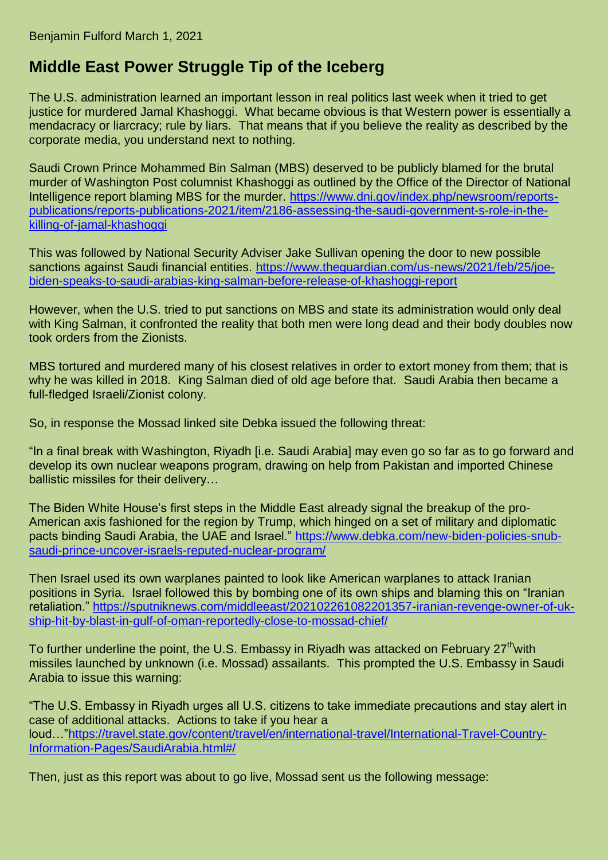## **Middle East Power Struggle Tip of the Iceberg**

The U.S. administration learned an important lesson in real politics last week when it tried to get justice for murdered Jamal Khashoggi. What became obvious is that Western power is essentially a mendacracy or liarcracy; rule by liars. That means that if you believe the reality as described by the corporate media, you understand next to nothing.

Saudi Crown Prince Mohammed Bin Salman (MBS) deserved to be publicly blamed for the brutal murder of Washington Post columnist Khashoggi as outlined by the Office of the Director of National Intelligence report blaming MBS for the murder. [https://www.dni.gov/index.php/newsroom/reports](https://www.dni.gov/index.php/newsroom/reports-publications/reports-publications-2021/item/2186-assessing-the-saudi-government-s-role-in-the-killing-of-jamal-khashoggi)[publications/reports-publications-2021/item/2186-assessing-the-saudi-government-s-role-in-the](https://www.dni.gov/index.php/newsroom/reports-publications/reports-publications-2021/item/2186-assessing-the-saudi-government-s-role-in-the-killing-of-jamal-khashoggi)[killing-of-jamal-khashoggi](https://www.dni.gov/index.php/newsroom/reports-publications/reports-publications-2021/item/2186-assessing-the-saudi-government-s-role-in-the-killing-of-jamal-khashoggi)

This was followed by National Security Adviser Jake Sullivan opening the door to new possible sanctions against Saudi financial entities. [https://www.theguardian.com/us-news/2021/feb/25/joe](https://www.theguardian.com/us-news/2021/feb/25/joe-biden-speaks-to-saudi-arabias-king-salman-before-release-of-khashoggi-report)[biden-speaks-to-saudi-arabias-king-salman-before-release-of-khashoggi-report](https://www.theguardian.com/us-news/2021/feb/25/joe-biden-speaks-to-saudi-arabias-king-salman-before-release-of-khashoggi-report)

However, when the U.S. tried to put sanctions on MBS and state its administration would only deal with King Salman, it confronted the reality that both men were long dead and their body doubles now took orders from the Zionists.

MBS tortured and murdered many of his closest relatives in order to extort money from them; that is why he was killed in 2018. King Salman died of old age before that. Saudi Arabia then became a full-fledged Israeli/Zionist colony.

So, in response the Mossad linked site Debka issued the following threat:

"In a final break with Washington, Riyadh [i.e. Saudi Arabia] may even go so far as to go forward and develop its own nuclear weapons program, drawing on help from Pakistan and imported Chinese ballistic missiles for their delivery…

The Biden White House's first steps in the Middle East already signal the breakup of the pro-American axis fashioned for the region by Trump, which hinged on a set of military and diplomatic pacts binding Saudi Arabia, the UAE and Israel." [https://www.debka.com/new-biden-policies-snub](https://www.debka.com/new-biden-policies-snub-saudi-prince-uncover-israels-reputed-nuclear-program/)[saudi-prince-uncover-israels-reputed-nuclear-program/](https://www.debka.com/new-biden-policies-snub-saudi-prince-uncover-israels-reputed-nuclear-program/)

Then Israel used its own warplanes painted to look like American warplanes to attack Iranian positions in Syria. Israel followed this by bombing one of its own ships and blaming this on "Iranian retaliation." [https://sputniknews.com/middleeast/202102261082201357-iranian-revenge-owner-of-uk](https://sputniknews.com/middleeast/202102261082201357-iranian-revenge-owner-of-uk-ship-hit-by-blast-in-gulf-of-oman-reportedly-close-to-mossad-chief/)[ship-hit-by-blast-in-gulf-of-oman-reportedly-close-to-mossad-chief/](https://sputniknews.com/middleeast/202102261082201357-iranian-revenge-owner-of-uk-ship-hit-by-blast-in-gulf-of-oman-reportedly-close-to-mossad-chief/)

To further underline the point, the U.S. Embassy in Riyadh was attacked on February 27<sup>th</sup>with missiles launched by unknown (i.e. Mossad) assailants. This prompted the U.S. Embassy in Saudi Arabia to issue this warning:

"The U.S. Embassy in Riyadh urges all U.S. citizens to take immediate precautions and stay alert in case of additional attacks. Actions to take if you hear a loud…["https://travel.state.gov/content/travel/en/international-travel/International-Travel-Country-](https://travel.state.gov/content/travel/en/international-travel/International-Travel-Country-Information-Pages/SaudiArabia.html#/)[Information-Pages/SaudiArabia.html#/](https://travel.state.gov/content/travel/en/international-travel/International-Travel-Country-Information-Pages/SaudiArabia.html#/)

Then, just as this report was about to go live, Mossad sent us the following message: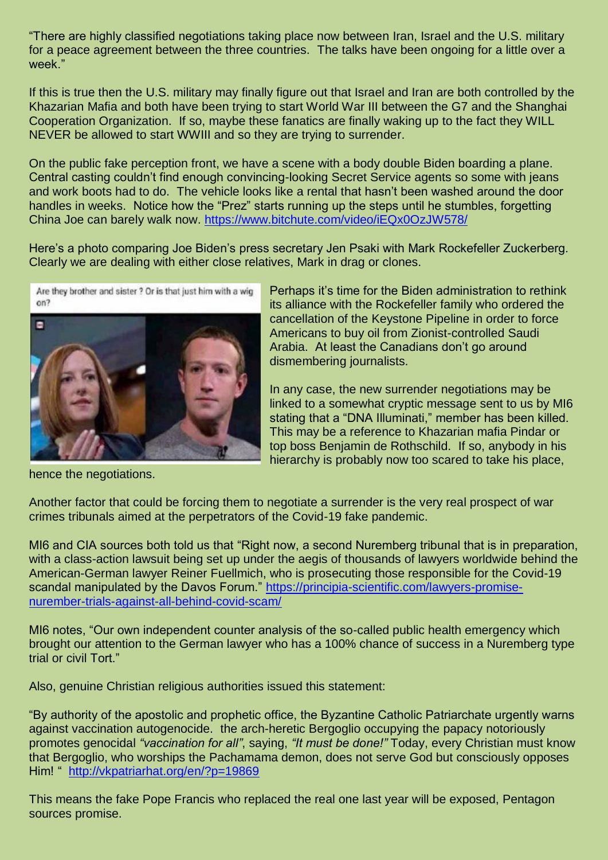"There are highly classified negotiations taking place now between Iran, Israel and the U.S. military for a peace agreement between the three countries. The talks have been ongoing for a little over a week."

If this is true then the U.S. military may finally figure out that Israel and Iran are both controlled by the Khazarian Mafia and both have been trying to start World War III between the G7 and the Shanghai Cooperation Organization. If so, maybe these fanatics are finally waking up to the fact they WILL NEVER be allowed to start WWIII and so they are trying to surrender.

On the public fake perception front, we have a scene with a body double Biden boarding a plane. Central casting couldn't find enough convincing-looking Secret Service agents so some with jeans and work boots had to do. The vehicle looks like a rental that hasn't been washed around the door handles in weeks. Notice how the "Prez" starts running up the steps until he stumbles, forgetting China Joe can barely walk now.<https://www.bitchute.com/video/iEQx0OzJW578/>

Here's a photo comparing Joe Biden's press secretary Jen Psaki with Mark Rockefeller Zuckerberg. Clearly we are dealing with either close relatives, Mark in drag or clones.

Are they brother and sister ? Or is that just him with a wig  $on?$ 



Perhaps it's time for the Biden administration to rethink its alliance with the Rockefeller family who ordered the cancellation of the Keystone Pipeline in order to force Americans to buy oil from Zionist-controlled Saudi Arabia. At least the Canadians don't go around dismembering journalists.

In any case, the new surrender negotiations may be linked to a somewhat cryptic message sent to us by MI6 stating that a "DNA Illuminati," member has been killed. This may be a reference to Khazarian mafia Pindar or top boss Benjamin de Rothschild. If so, anybody in his hierarchy is probably now too scared to take his place,

hence the negotiations.

Another factor that could be forcing them to negotiate a surrender is the very real prospect of war crimes tribunals aimed at the perpetrators of the Covid-19 fake pandemic.

MI6 and CIA sources both told us that "Right now, a second Nuremberg tribunal that is in preparation, with a class-action lawsuit being set up under the aegis of thousands of lawyers worldwide behind the American-German lawyer Reiner Fuellmich, who is prosecuting those responsible for the Covid-19 scandal manipulated by the Davos Forum." [https://principia-scientific.com/lawyers-promise](https://principia-scientific.com/lawyers-promise-nurember-trials-against-all-behind-covid-scam/)[nurember-trials-against-all-behind-covid-scam/](https://principia-scientific.com/lawyers-promise-nurember-trials-against-all-behind-covid-scam/)

MI6 notes, "Our own independent counter analysis of the so-called public health emergency which brought our attention to the German lawyer who has a 100% chance of success in a Nuremberg type trial or civil Tort."

Also, genuine Christian religious authorities issued this statement:

"By authority of the apostolic and prophetic office, the Byzantine Catholic Patriarchate urgently warns against vaccination autogenocide. the arch-heretic Bergoglio occupying the papacy notoriously promotes genocidal *"vaccination for all"*, saying, *"It must be done!"* Today, every Christian must know that Bergoglio, who worships the Pachamama demon, does not serve God but consciously opposes Him! " <http://vkpatriarhat.org/en/?p=19869>

This means the fake Pope Francis who replaced the real one last year will be exposed, Pentagon sources promise.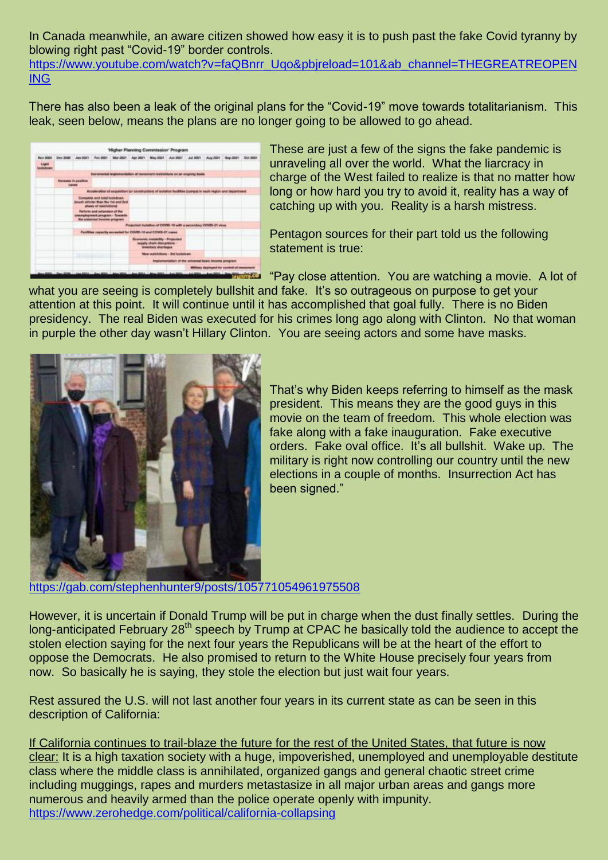In Canada meanwhile, an aware citizen showed how easy it is to push past the fake Covid tyranny by blowing right past "Covid-19" border controls. [https://www.youtube.com/watch?v=faQBnrr\\_Uqo&pbjreload=101&ab\\_channel=THEGREATREOPEN](https://www.youtube.com/watch?v=faQBnrr_Uqo&pbjreload=101&ab_channel=THEGREATREOPENING) [ING](https://www.youtube.com/watch?v=faQBnrr_Uqo&pbjreload=101&ab_channel=THEGREATREOPENING)

There has also been a leak of the original plans for the "Covid-19" move towards totalitarianism. This leak, seen below, means the plans are no longer going to be allowed to go ahead.

|                 |                                                               |                                                      |                                                                                                             |  |  | 'Higher Planning Commission' Program                                                   |  |  |  |                            |  |
|-----------------|---------------------------------------------------------------|------------------------------------------------------|-------------------------------------------------------------------------------------------------------------|--|--|----------------------------------------------------------------------------------------|--|--|--|----------------------------|--|
| <b>Nov 2023</b> |                                                               | Days \$1000 - April 2021 -                           |                                                                                                             |  |  | Fey 2621 Mar 2621 Apr 2621 May 2521 Jun 2621 Jul 2621 Aug 2621                         |  |  |  | Beg-2021 Den pitzn         |  |
| <b>Light</b>    |                                                               |                                                      |                                                                                                             |  |  |                                                                                        |  |  |  |                            |  |
|                 |                                                               |                                                      | Incremental legislaturisation of movement neet/attorie on an engoing basis                                  |  |  |                                                                                        |  |  |  |                            |  |
|                 | <b>Burnass is positive</b><br><b>STRAINS</b>                  |                                                      |                                                                                                             |  |  |                                                                                        |  |  |  |                            |  |
|                 |                                                               |                                                      | Aboatenation of assumption for constructions of lastation facilities (compai in each region and cepartment) |  |  |                                                                                        |  |  |  |                            |  |
|                 |                                                               |                                                      | Complete and total lookdown<br>imach stricter than the Sat and Inci<br>stream of realisticities             |  |  |                                                                                        |  |  |  |                            |  |
|                 |                                                               |                                                      | <b>Reform and automaker of the</b><br>premissing ment program. - To wants<br>the columnal income program    |  |  |                                                                                        |  |  |  |                            |  |
|                 |                                                               |                                                      | Projected installate of COVID-19 with a securitary COVID-21 years.                                          |  |  |                                                                                        |  |  |  |                            |  |
|                 | Facilities sapacity exceeded for COVID-18 and COVID-21 sapes. |                                                      |                                                                                                             |  |  |                                                                                        |  |  |  |                            |  |
|                 |                                                               |                                                      |                                                                                                             |  |  | Economic includibly - Properties<br>sepaly stude disniplions -<br>imeentary shortages. |  |  |  |                            |  |
|                 |                                                               | Mana membriefsbanns - Brett institutioners           |                                                                                                             |  |  |                                                                                        |  |  |  |                            |  |
|                 |                                                               | implementation of the universal basic income program |                                                                                                             |  |  |                                                                                        |  |  |  |                            |  |
|                 |                                                               | Military deployed for contest of monoment            |                                                                                                             |  |  |                                                                                        |  |  |  |                            |  |
|                 |                                                               |                                                      |                                                                                                             |  |  | . Any 2004. May 2014. Any 2004.                                                        |  |  |  | An Mill and Chrysler Co. 1 |  |

These are just a few of the signs the fake pandemic is unraveling all over the world. What the liarcracy in charge of the West failed to realize is that no matter how long or how hard you try to avoid it, reality has a way of catching up with you. Reality is a harsh mistress.

Pentagon sources for their part told us the following statement is true:

"Pay close attention. You are watching a movie. A lot of what you are seeing is completely bullshit and fake. It's so outrageous on purpose to get your attention at this point. It will continue until it has accomplished that goal fully. There is no Biden presidency. The real Biden was executed for his crimes long ago along with Clinton. No that woman in purple the other day wasn't Hillary Clinton. You are seeing actors and some have masks.



That's why Biden keeps referring to himself as the mask president. This means they are the good guys in this movie on the team of freedom. This whole election was fake along with a fake inauguration. Fake executive orders. Fake oval office. It's all bullshit. Wake up. The military is right now controlling our country until the new elections in a couple of months. Insurrection Act has been signed."

<https://gab.com/stephenhunter9/posts/105771054961975508>

However, it is uncertain if Donald Trump will be put in charge when the dust finally settles. During the long-anticipated February 28<sup>th</sup> speech by Trump at CPAC he basically told the audience to accept the stolen election saying for the next four years the Republicans will be at the heart of the effort to oppose the Democrats. He also promised to return to the White House precisely four years from now. So basically he is saying, they stole the election but just wait four years.

Rest assured the U.S. will not last another four years in its current state as can be seen in this description of California:

If California continues to trail-blaze the future for the rest of the United States, that future is now clear: It is a high taxation society with a huge, impoverished, unemployed and unemployable destitute class where the middle class is annihilated, organized gangs and general chaotic street crime including muggings, rapes and murders metastasize in all major urban areas and gangs more numerous and heavily armed than the police operate openly with impunity. <https://www.zerohedge.com/political/california-collapsing>